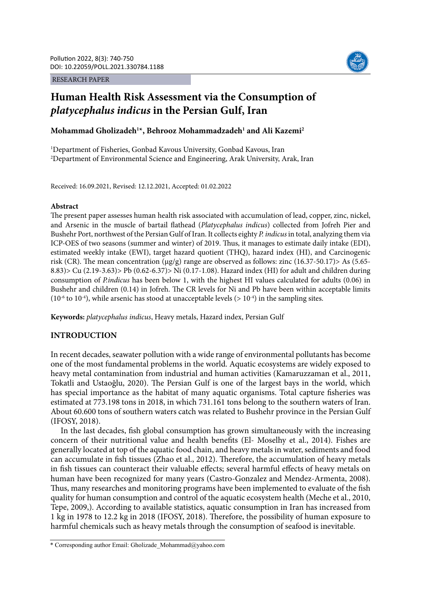#### RESEARCH PAPER



# **Human Health Risk Assessment via the Consumption of**  *platycephalus indicus* **in the Persian Gulf, Iran**

# **Mohammad Gholizadeh1 \*, Behrooz Mohammadzadeh1 and Ali Kazemi2**

1 Department of Fisheries, Gonbad Kavous University, Gonbad Kavous, Iran 2 Department of Environmental Science and Engineering, Arak University, Arak, Iran

Received: 16.09.2021, Revised: 12.12.2021, Accepted: 01.02.2022

#### **Abstract**

The present paper assesses human health risk associated with accumulation of lead, copper, zinc, nickel, and Arsenic in the muscle of bartail flathead (*Platycephalus indicus*) collected from Jofreh Pier and Bushehr Port, northwest of the Persian Gulf of Iran. It collects eighty *P. indicus* in total, analyzing them via ICP-OES of two seasons (summer and winter) of 2019. Thus, it manages to estimate daily intake (EDI), estimated weekly intake (EWI), target hazard quotient (THQ), hazard index (HI), and Carcinogenic risk (CR). The mean concentration  $(\mu g/g)$  range are observed as follows: zinc (16.37-50.17) As (5.65-8.83)> Cu (2.19-3.63)> Pb (0.62-6.37)> Ni (0.17-1.08). Hazard index (HI) for adult and children during consumption of *P.indicus* has been below 1, with the highest HI values calculated for adults (0.06) in Bushehr and children (0.14) in Jofreh. The CR levels for Ni and Pb have been within acceptable limits (10<sup>-6</sup> to 10<sup>-4</sup>), while arsenic has stood at unacceptable levels ( $> 10^{-4}$ ) in the sampling sites.

**Keywords:** *platycephalus indicus*, Heavy metals, Hazard index, Persian Gulf

#### **INTRODUCTION**

In recent decades, seawater pollution with a wide range of environmental pollutants has become one of the most fundamental problems in the world. Aquatic ecosystems are widely exposed to heavy metal contamination from industrial and human activities (Kamaruzzaman et al., 2011, Tokatli and Ustaoğlu, 2020). The Persian Gulf is one of the largest bays in the world, which has special importance as the habitat of many aquatic organisms. Total capture fisheries was estimated at 773.198 tons in 2018, in which 731.161 tons belong to the southern waters of Iran. About 60.600 tons of southern waters catch was related to Bushehr province in the Persian Gulf (IFOSY, 2018).

In the last decades, fish global consumption has grown simultaneously with the increasing concern of their nutritional value and health benefits (El- Moselhy et al., 2014). Fishes are generally located at top of the aquatic food chain, and heavy metals in water, sediments and food can accumulate in fish tissues (Zhao et al., 2012). Therefore, the accumulation of heavy metals in fish tissues can counteract their valuable effects; several harmful effects of heavy metals on human have been recognized for many years (Castro-Gonzalez and Mendez-Armenta, 2008). Thus, many researches and monitoring programs have been implemented to evaluate of the fish quality for human consumption and control of the aquatic ecosystem health (Meche et al., 2010, Tepe, 2009,). According to available statistics, aquatic consumption in Iran has increased from 1 kg in 1978 to 12.2 kg in 2018 (IFOSY, 2018). Therefore, the possibility of human exposure to harmful chemicals such as heavy metals through the consumption of seafood is inevitable.

<sup>\*</sup> Corresponding author Email: Gholizade\_Mohammad@yahoo.com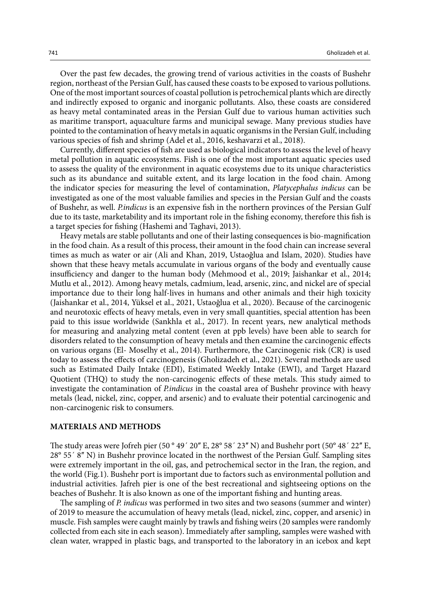Over the past few decades, the growing trend of various activities in the coasts of Bushehr region, northeast of the Persian Gulf, has caused these coasts to be exposed to various pollutions. One of the most important sources of coastal pollution is petrochemical plants which are directly and indirectly exposed to organic and inorganic pollutants. Also, these coasts are considered as heavy metal contaminated areas in the Persian Gulf due to various human activities such as maritime transport, aquaculture farms and municipal sewage. Many previous studies have pointed to the contamination of heavy metals in aquatic organisms in the Persian Gulf, including various species of fish and shrimp (Adel et al., 2016, keshavarzi et al., 2018).

Currently, different species of fish are used as biological indicators to assess the level of heavy metal pollution in aquatic ecosystems. Fish is one of the most important aquatic species used to assess the quality of the environment in aquatic ecosystems due to its unique characteristics such as its abundance and suitable extent, and its large location in the food chain. Among the indicator species for measuring the level of contamination, *Platycephalus indicus* can be investigated as one of the most valuable families and species in the Persian Gulf and the coasts of Bushehr, as well. *P.indicus* is an expensive fish in the northern provinces of the Persian Gulf due to its taste, marketability and its important role in the fishing economy, therefore this fish is a target species for fishing (Hashemi and Taghavi, 2013).

Heavy metals are stable pollutants and one of their lasting consequences is bio-magnification in the food chain. As a result of this process, their amount in the food chain can increase several times as much as water or air (Ali and Khan, 2019, Ustaoğlua and Islam, 2020). Studies have shown that these heavy metals accumulate in various organs of the body and eventually cause insufficiency and danger to the human body (Mehmood et al., 2019; Jaishankar et al., 2014; Mutlu et al., 2012). Among heavy metals, cadmium, lead, arsenic, zinc, and nickel are of special importance due to their long half-lives in humans and other animals and their high toxicity (Jaishankar et al., 2014, Yüksel et al., 2021, Ustaoğlua et al., 2020). Because of the carcinogenic and neurotoxic effects of heavy metals, even in very small quantities, special attention has been paid to this issue worldwide (Sankhla et al., 2017). In recent years, new analytical methods for measuring and analyzing metal content (even at ppb levels) have been able to search for disorders related to the consumption of heavy metals and then examine the carcinogenic effects on various organs (El- Moselhy et al., 2014). Furthermore, the Carcinogenic risk (CR) is used today to assess the effects of carcinogenesis (Gholizadeh et al., 2021). Several methods are used such as Estimated Daily Intake (EDI), Estimated Weekly Intake (EWI), and Target Hazard Quotient (THQ) to study the non-carcinogenic effects of these metals. This study aimed to investigate the contamination of *P.indicus* in the coastal area of Bushehr province with heavy metals (lead, nickel, zinc, copper, and arsenic) and to evaluate their potential carcinogenic and non-carcinogenic risk to consumers.

#### **MATERIALS AND METHODS**

The study areas were Jofreh pier (50 $^{\circ}$  49' 20" E, 28 $^{\circ}$  58' 23" N) and Bushehr port (50 $^{\circ}$  48' 22" E, 28° 55′ 8″ N) in Bushehr province located in the northwest of the Persian Gulf. Sampling sites were extremely important in the oil, gas, and petrochemical sector in the Iran, the region, and the world (Fig.1). Bushehr port is important due to factors such as environmental pollution and industrial activities. Jafreh pier is one of the best recreational and sightseeing options on the beaches of Bushehr. It is also known as one of the important fishing and hunting areas.

The sampling of *P. indicus* was performed in two sites and two seasons (summer and winter) of 2019 to measure the accumulation of heavy metals (lead, nickel, zinc, copper, and arsenic) in muscle. Fish samples were caught mainly by trawls and fishing weirs (20 samples were randomly collected from each site in each season). Immediately after sampling, samples were washed with clean water, wrapped in plastic bags, and transported to the laboratory in an icebox and kept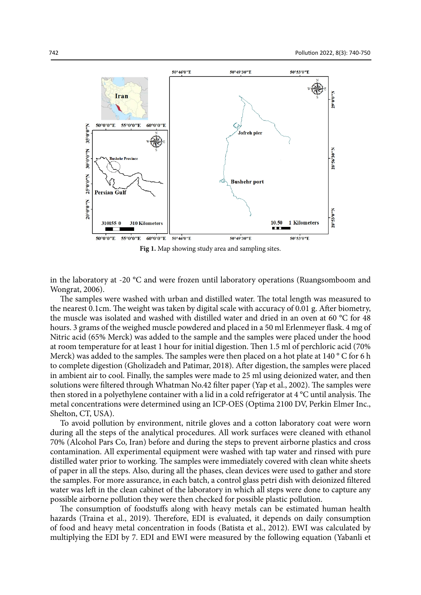

**Fig 1.** Map showing study area and sampling sites.

in the laboratory at -20 °C and were frozen until laboratory operations (Ruangsomboom and Wongrat, 2006).

The samples were washed with urban and distilled water. The total length was measured to the nearest 0.1cm. The weight was taken by digital scale with accuracy of 0.01 g. After biometry, the muscle was isolated and washed with distilled water and dried in an oven at 60 °C for 48 hours. 3 grams of the weighed muscle powdered and placed in a 50 ml Erlenmeyer flask. 4 mg of Nitric acid (65% Merck) was added to the sample and the samples were placed under the hood at room temperature for at least 1 hour for initial digestion. Then 1.5 ml of perchloric acid (70% Merck) was added to the samples. The samples were then placed on a hot plate at 140  $\degree$  C for 6 h to complete digestion (Gholizadeh and Patimar, 2018). After digestion, the samples were placed in ambient air to cool. Finally, the samples were made to 25 ml using deionized water, and then solutions were filtered through Whatman No.42 filter paper (Yap et al., 2002). The samples were then stored in a polyethylene container with a lid in a cold refrigerator at 4 °C until analysis. The metal concentrations were determined using an ICP-OES (Optima 2100 DV, Perkin Elmer Inc., Shelton, CT, USA).

To avoid pollution by environment, nitrile gloves and a cotton laboratory coat were worn during all the steps of the analytical procedures. All work surfaces were cleaned with ethanol 70% (Alcohol Pars Co, Iran) before and during the steps to prevent airborne plastics and cross contamination. All experimental equipment were washed with tap water and rinsed with pure distilled water prior to working. The samples were immediately covered with clean white sheets of paper in all the steps. Also, during all the phases, clean devices were used to gather and store the samples. For more assurance, in each batch, a control glass petri dish with deionized filtered water was left in the clean cabinet of the laboratory in which all steps were done to capture any possible airborne pollution they were then checked for possible plastic pollution.

The consumption of foodstuffs along with heavy metals can be estimated human health hazards (Traina et al., 2019). Therefore, EDI is evaluated, it depends on daily consumption of food and heavy metal concentration in foods (Batista et al., 2012). EWI was calculated by multiplying the EDI by 7. EDI and EWI were measured by the following equation (Yabanli et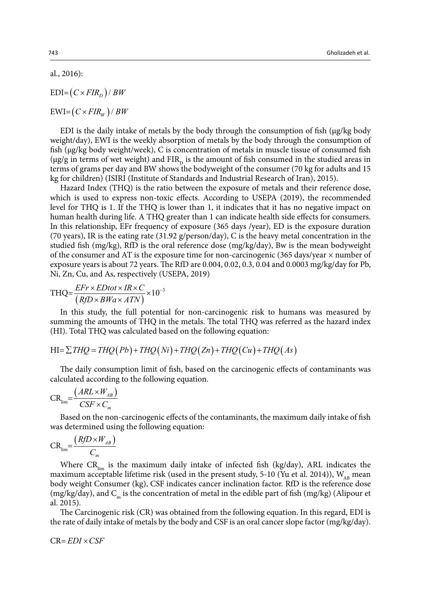al., 2016):

 $EDI = (C \times FIR<sub>D</sub>) / BW$ 

 $EWI = (C \times FIR_w) / BW$ 

EDI is the daily intake of metals by the body through the consumption of fish  $(\mu g/kg$  body weight/day), EWI is the weekly absorption of metals by the body through the consumption of fish (µg/kg body weight/week), C is concentration of metals in muscle tissue of consumed fish ( $\mu$ g/g in terms of wet weight) and FIR<sub>p</sub> is the amount of fish consumed in the studied areas in terms of grams per day and BW shows the bodyweight of the consumer (70 kg for adults and 15 kg for children) (ISIRI (Institute of Standards and Industrial Research of Iran), 2015).

Hazard Index (THQ) is the ratio between the exposure of metals and their reference dose, which is used to express non-toxic effects. According to USEPA (2019), the recommended level for THQ is 1. If the THQ is lower than 1, it indicates that it has no negative impact on human health during life. A THQ greater than 1 can indicate health side effects for consumers. In this relationship, EFr frequency of exposure (365 days /year), ED is the exposure duration (70 years), IR is the eating rate (31.92 g/person/day), C is the heavy metal concentration in the studied fish (mg/kg), RfD is the oral reference dose (mg/kg/day), Bw is the mean bodyweight of the consumer and AT is the exposure time for non-carcinogenic (365 days/year  $\times$  number of exposure years is about 72 years. The RfD are 0.004, 0.02, 0.3, 0.04 and 0.0003 mg/kg/day for Pb, Ni, Zn, Cu, and As, respectively (USEPA, 2019)

$$
THQ = \frac{EFr \times EDtot \times IR \times C}{(RfD \times BWa \times ATM)} \times 10^{-3}
$$

In this study, the full potential for non-carcinogenic risk to humans was measured by summing the amounts of THQ in the metals. The total THQ was referred as the hazard index (HI). Total THQ was calculated based on the following equation:

$$
HI = \sum THQ = THQ(Pb) + THQ(Ni) + THQ(Zn) + THQ(Cu) + THQ(As)
$$

The daily consumption limit of fish, based on the carcinogenic effects of contaminants was calculated according to the following equation.

$$
CR_{\lim} = \frac{\left( \mathit{ARL} \times W_{AB} \right)}{CSF \times C_m}
$$

Based on the non-carcinogenic effects of the contaminants, the maximum daily intake of fish was determined using the following equation:

$$
CR_{\lim} = \frac{RfD \times W_{AB}}{C_m}
$$

Where  $CR_{lim}$  is the maximum daily intake of infected fish (kg/day), ARL indicates the maximum acceptable lifetime risk (used in the present study, 5-10 (Yu et al. 2014)),  $W_{AB}$  mean body weight Consumer (kg), CSF indicates cancer inclination factor. RfD is the reference dose (mg/kg/day), and  $C_m$  is the concentration of metal in the edible part of fish (mg/kg) (Alipour et al. 2015).

The Carcinogenic risk (CR) was obtained from the following equation. In this regard, EDI is the rate of daily intake of metals by the body and CSF is an oral cancer slope factor (mg/kg/day).

 $CR = EDI \times CSF$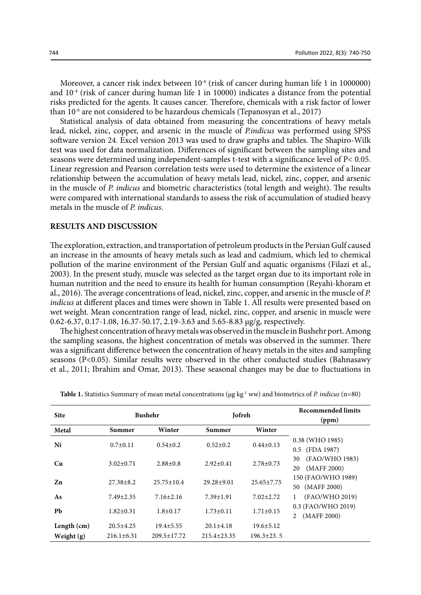Moreover, a cancer risk index between 10<sup>-6</sup> (risk of cancer during human life 1 in 1000000) and  $10^{-4}$  (risk of cancer during human life 1 in 10000) indicates a distance from the potential risks predicted for the agents. It causes cancer. Therefore, chemicals with a risk factor of lower than 10-6 are not considered to be hazardous chemicals (Tepanosyan et al., 2017)

Statistical analysis of data obtained from measuring the concentrations of heavy metals lead, nickel, zinc, copper, and arsenic in the muscle of *P.indicus* was performed using SPSS software version 24. Excel version 2013 was used to draw graphs and tables. The Shapiro-Wilk test was used for data normalization. Differences of significant between the sampling sites and seasons were determined using independent-samples t-test with a significance level of P< 0.05. Linear regression and Pearson correlation tests were used to determine the existence of a linear relationship between the accumulation of heavy metals lead, nickel, zinc, copper, and arsenic in the muscle of *P. indicus* and biometric characteristics (total length and weight). The results were compared with international standards to assess the risk of accumulation of studied heavy metals in the muscle of *P. indicus*.

#### **RESULTS AND DISCUSSION**

The exploration, extraction, and transportation of petroleum products in the Persian Gulf caused an increase in the amounts of heavy metals such as lead and cadmium, which led to chemical pollution of the marine environment of the Persian Gulf and aquatic organisms (Filazi et al., 2003). In the present study, muscle was selected as the target organ due to its important role in human nutrition and the need to ensure its health for human consumption (Reyahi-khoram et al., 2016). The average concentrations of lead, nickel, zinc, copper, and arsenic in the muscle of *P. indicus* at different places and times were shown in Table 1. All results were presented based on wet weight. Mean concentration range of lead, nickel, zinc, copper, and arsenic in muscle were 0.62-6.37, 0.17-1.08, 16.37-50.17, 2.19-3.63 and 5.65-8.83 μg/g, respectively.

The highest concentration of heavy metals was observed in the muscle in Bushehr port. Among the sampling seasons, the highest concentration of metals was observed in the summer. There was a significant difference between the concentration of heavy metals in the sites and sampling seasons (P<0.05). Similar results were observed in the other conducted studies (Bahnasawy et al., 2011; Ibrahim and Omar, 2013). These seasonal changes may be due to fluctuations in

| <b>Site</b>   | <b>Bushehr</b>   |                   | Jofreh            |                  | <b>Recommended limits</b><br>(ppm)        |
|---------------|------------------|-------------------|-------------------|------------------|-------------------------------------------|
| Metal         | Summer           | Winter            | Winter<br>Summer  |                  |                                           |
| Ni            | $0.7 \pm 0.11$   | $0.54 \pm 0.2$    | $0.52 \pm 0.2$    | $0.44 \pm 0.13$  | 0.38 (WHO 1985)<br>0.5 (FDA 1987)         |
| Cu            | $3.02 \pm 0.71$  | $2.88 \pm 0.8$    | $2.92 \pm 0.41$   | $2.78 \pm 0.73$  | (FAO/WHO 1983)<br>30<br>(MAFF 2000)<br>20 |
| Zn            | $27.38 \pm 8.2$  | $25.75 + 10.4$    | $29.28 + 9.01$    | $25.65 \pm 7.75$ | 150 (FAO/WHO 1989)<br>50 (MAFF 2000)      |
| As            | $7.49 \pm 2.35$  | $7.16 \pm 2.16$   | $7.39 \pm 1.91$   | $7.02 \pm 2.72$  | (FAO/WHO 2019)                            |
| Pb            | $1.82 \pm 0.31$  | $1.8 \pm 0.17$    | $1.73 \pm 0.11$   | $1.71 \pm 0.15$  | 0.3 (FAO/WHO 2019)<br>(MAFF 2000)         |
| Length $(cm)$ | $20.5 + 4.25$    | $19.4 \pm 5.55$   | $20.1 \pm 4.18$   | $19.6 \pm 5.12$  |                                           |
| Weight $(g)$  | $216.1 \pm 6.31$ | $209.5 \pm 17.72$ | $215.4 \pm 23.35$ | $196.3 \pm 23.5$ |                                           |

Table 1. Statistics Summary of mean metal concentrations ( $\mu$ g kg<sup>-1</sup> ww) and biometrics of *P. indicus* (n=80)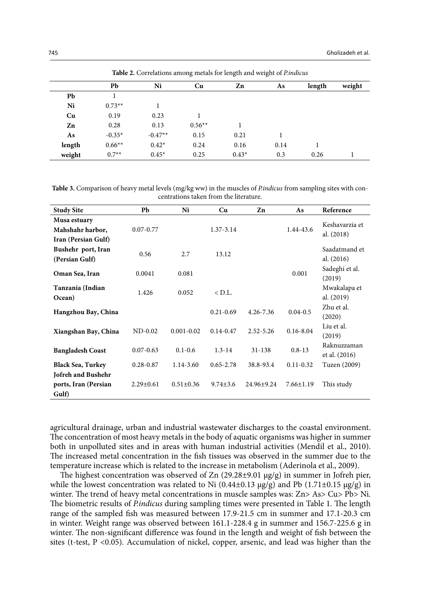|        | <b>Table 2.</b> Correlations among inclus for length and weight of <i>Linuicus</i> |           |          |         |      |        |        |  |  |
|--------|------------------------------------------------------------------------------------|-----------|----------|---------|------|--------|--------|--|--|
|        | Pb                                                                                 | Ni        | Cu       | Zn      | As   | length | weight |  |  |
| Pb     |                                                                                    |           |          |         |      |        |        |  |  |
| Ni     | $0.73**$                                                                           |           |          |         |      |        |        |  |  |
| Cu     | 0.19                                                                               | 0.23      |          |         |      |        |        |  |  |
| Zn     | 0.28                                                                               | 0.13      | $0.56**$ |         |      |        |        |  |  |
| As     | $-0.35*$                                                                           | $-0.47**$ | 0.15     | 0.21    |      |        |        |  |  |
| length | $0.66**$                                                                           | $0.42*$   | 0.24     | 0.16    | 0.14 |        |        |  |  |
| weight | $0.7**$                                                                            | $0.45*$   | 0.25     | $0.43*$ | 0.3  | 0.26   |        |  |  |

Table 2. Correlations among metals for length and weight of *P.indicus* **Table 2.** Correlations among metals for length and weight of *P.indicus*

Table 3. Comparison of heavy metal levels (mg/kg ww) in the muscles of *P.indicus* from sampling sites with concentrations taken from the literature.

| <b>Study Site</b>                                       | Pb              | Ni              | Cu             | Zn            | As              | Reference                    |  |
|---------------------------------------------------------|-----------------|-----------------|----------------|---------------|-----------------|------------------------------|--|
| Musa estuary<br>Mahshahr harbor,<br>Iran (Persian Gulf) | $0.07 - 0.77$   |                 | 1.37-3.14      |               | 1.44-43.6       | Keshavarzia et<br>al. (2018) |  |
| Bushehr port, Iran<br>(Persian Gulf)                    | 0.56            | 2.7             | 13.12          |               |                 | Saadatmand et<br>al. (2016)  |  |
| Oman Sea, Iran                                          | 0.0041          | 0.081           |                |               | 0.001           | Sadeghi et al.<br>(2019)     |  |
| Tanzania (Indian<br>Ocean)                              | 1.426           | 0.052           | $<$ D.L.       |               |                 | Mwakalapa et<br>al. (2019)   |  |
| Hangzhou Bay, China                                     |                 |                 | $0.21 - 0.69$  | $4.26 - 7.36$ | $0.04 - 0.5$    | Zhu et al.<br>(2020)         |  |
| Xiangshan Bay, China                                    | $ND-0.02$       | $0.001 - 0.02$  | $0.14 - 0.47$  | $2.52 - 5.26$ | $0.16 - 8.04$   | Liu et al.<br>(2019)         |  |
| <b>Bangladesh Coast</b>                                 | $0.07 - 0.63$   | $0.1 - 0.6$     | $1.3 - 14$     | $31 - 138$    | $0.8 - 13$      | Raknuzzaman<br>et al. (2016) |  |
| <b>Black Sea, Turkey</b>                                | $0.28 - 0.87$   | $1.14 - 3.60$   | $0.65 - 2.78$  | 38.8-93.4     | $0.11 - 0.32$   | Tuzen (2009)                 |  |
| Jofreh and Bushehr<br>ports, Iran (Persian<br>Gulf)     | $2.29 \pm 0.61$ | $0.51 \pm 0.36$ | $9.74 \pm 3.6$ | 24.96±9.24    | $7.66 \pm 1.19$ | This study                   |  |

agricultural drainage, urban and industrial wastewater discharges to the coastal environment. The concentration of most heavy metals in the body of aquatic organisms was higher in summer both in unpolluted sites and in areas with human industrial activities (Mendil et al., 2010). The increased metal concentration in the fish tissues was observed in the summer due to the temperature increase which is related to the increase in metabolism (Aderinola et al., 2009).

The highest concentration was observed of  $Zn$  (29.28±9.01  $\mu$ g/g) in summer in Jofreh pier, while the lowest concentration was related to Ni  $(0.44\pm0.13 \text{ µg/g})$  and Pb  $(1.71\pm0.15 \text{ µg/g})$  in winter. The trend of heavy metal concentrations in muscle samples was: Zn> As> Cu> Pb> Ni. The biometric results of *P.indicus* during sampling times were presented in Table 1. The length range of the sampled fish was measured between 17.9-21.5 cm in summer and 17.1-20.3 cm in winter. Weight range was observed between 161.1-228.4 g in summer and 156.7-225.6 g in winter. The non-significant difference was found in the length and weight of fish between the sites (t-test, P <0.05). Accumulation of nickel, copper, arsenic, and lead was higher than the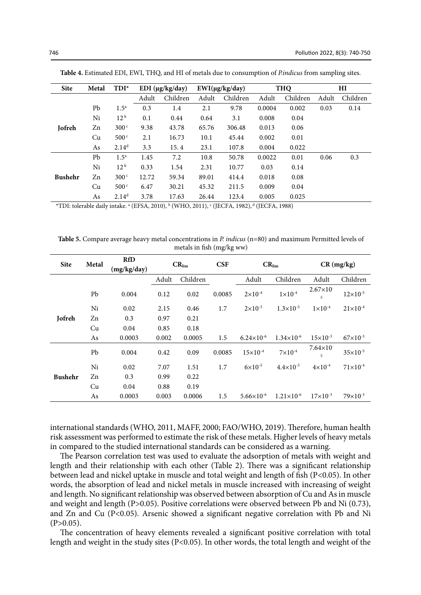| <b>Site</b>    | Metal | $TDI^*$           |       | EDI ( $\mu$ g/kg/day) |       | $EWI(\mu g/kg/day)$ | <b>THQ</b> |          | HI    |          |
|----------------|-------|-------------------|-------|-----------------------|-------|---------------------|------------|----------|-------|----------|
|                |       |                   | Adult | Children              | Adult | Children            | Adult      | Children | Adult | Children |
|                | Pb    | 1.5 <sup>a</sup>  | 0.3   | 1.4                   | 2.1   | 9.78                | 0.0004     | 0.002    | 0.03  | 0.14     |
|                | Ni    | 12 <sup>b</sup>   | 0.1   | 0.44                  | 0.64  | 3.1                 | 0.008      | 0.04     |       |          |
| Jofreh         | Zn    | 300 <sup>c</sup>  | 9.38  | 43.78                 | 65.76 | 306.48              | 0.013      | 0.06     |       |          |
|                | Cu    | 500 <sup>c</sup>  | 2.1   | 16.73                 | 10.1  | 45.44               | 0.002      | 0.01     |       |          |
|                | As    | 2.14 <sup>d</sup> | 3.3   | 15.4                  | 23.1  | 107.8               | 0.004      | 0.022    |       |          |
|                | Pb    | 1.5 <sup>a</sup>  | 1.45  | 7.2                   | 10.8  | 50.78               | 0.0022     | 0.01     | 0.06  | 0.3      |
|                | Ni    | 12 <sup>b</sup>   | 0.33  | 1.54                  | 2.31  | 10.77               | 0.03       | 0.14     |       |          |
| <b>Bushehr</b> | Zn    | 300 <sup>c</sup>  | 12.72 | 59.34                 | 89.01 | 414.4               | 0.018      | 0.08     |       |          |
|                | Cu    | 500 <sup>c</sup>  | 6.47  | 30.21                 | 45.32 | 211.5               | 0.009      | 0.04     |       |          |
|                | As    | 2.14 <sup>d</sup> | 3.78  | 17.63                 | 26.44 | 123.4               | 0.005      | 0.025    |       |          |

Table 4. Estimated EDI, EWI, THQ, and HI of metals due to consumption of Pindicus from sampling sites.

\*TDI: tolerable daily intake.  $^a$  (EFSA, 2010),  $^b$  (WHO, 2011),  $^c$  (JECFA, 1982),  $^d$  (JECFA, 1988)

Table 5. Compare average heavy metal concentrations in *P. indicus* (n=80) and maximum Permitted levels of metals in fish (mg/kg ww)

| <b>Site</b>    | Metal | <b>RfD</b><br>(mg/kg/day) | $CR_{lim}$ |          | <b>CSF</b> | $CR_{lim}$            |                     | $CR$ (mg/kg)             |                     |
|----------------|-------|---------------------------|------------|----------|------------|-----------------------|---------------------|--------------------------|---------------------|
|                |       |                           | Adult      | Children |            | Adult                 | Children            | Adult                    | Children            |
|                | Pb    | 0.004                     | 0.12       | 0.02     | 0.0085     | $2 \times 10^{-4}$    | $1\times10^{-4}$    | $2.67\times10^{-7}$<br>5 | $12\times10^{-5}$   |
|                | Ni    | 0.02                      | 2.15       | 0.46     | 1.7        | $2 \times 10^{-5}$    | $1.3\times10^{-5}$  | $1\times10^{-4}$         | $21 \times 10^{-4}$ |
| Jofreh         | Zn    | 0.3                       | 0.97       | 0.21     |            |                       |                     |                          |                     |
|                | Cu    | 0.04                      | 0.85       | 0.18     |            |                       |                     |                          |                     |
|                | As    | 0.0003                    | 0.002      | 0.0005   | 1.5        | $6.24 \times 10^{-6}$ | $1.34\times10^{-6}$ | $15\times10^{-3}$        | $67\times10^{-3}$   |
|                | Pb    | 0.004                     | 0.42       | 0.09     | 0.0085     | $15\times10^{-4}$     | $7 \times 10^{-4}$  | $7.64\times10^{-7}$<br>5 | $35 \times 10^{-5}$ |
|                | Ni    | 0.02                      | 7.07       | 1.51     | 1.7        | $6 \times 10^{-5}$    | $4.4\times10^{-5}$  | $4 \times 10^{-4}$       | $71\times10^{-4}$   |
| <b>Bushehr</b> | Zn    | 0.3                       | 0.99       | 0.22     |            |                       |                     |                          |                     |
|                | Cu    | 0.04                      | 0.88       | 0.19     |            |                       |                     |                          |                     |
|                | As    | 0.0003                    | 0.003      | 0.0006   | 1.5        | $5.66\times10^{-6}$   | $1.21\times10^{-6}$ | $17\times10^{-3}$        | $79\times10^{-3}$   |

international standards (WHO, 2011, MAFF, 2000; FAO/WHO, 2019). Therefore, human health risk assessment was performed to estimate the risk of these metals. Higher levels of heavy metals in compared to the studied international standards can be considered as a warning.

The Pearson correlation test was used to evaluate the adsorption of metals with weight and length and their relationship with each other (Table 2). There was a significant relationship between lead and nickel uptake in muscle and total weight and length of fish (P<0.05). In other words, the absorption of lead and nickel metals in muscle increased with increasing of weight and length. No significant relationship was observed between absorption of Cu and As in muscle and weight and length (P>0.05). Positive correlations were observed between Pb and Ni  $(0.73)$ , and Zn and Cu (P<0.05). Arsenic showed a significant negative correlation with Pb and Ni  $(P>0.05)$ .

The concentration of heavy elements revealed a significant positive correlation with total length and weight in the study sites (P<0.05). In other words, the total length and weight of the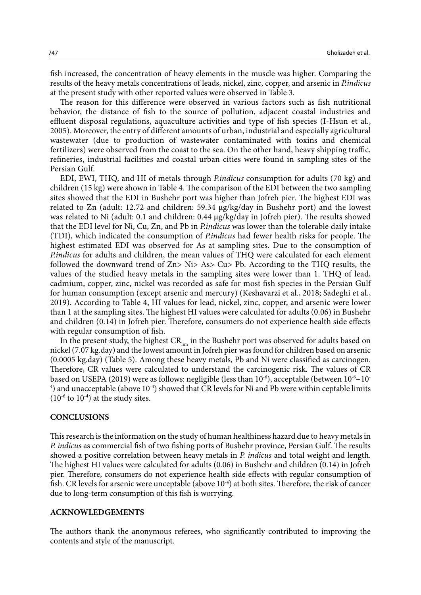fish increased, the concentration of heavy elements in the muscle was higher. Comparing the results of the heavy metals concentrations of leads, nickel, zinc, copper, and arsenic in *P.indicus* at the present study with other reported values were observed in Table 3.

The reason for this difference were observed in various factors such as fish nutritional behavior, the distance of fish to the source of pollution, adjacent coastal industries and effluent disposal regulations, aquaculture activities and type of fish species (I-Hsun et al., 2005). Moreover, the entry of different amounts of urban, industrial and especially agricultural wastewater (due to production of wastewater contaminated with toxins and chemical fertilizers) were observed from the coast to the sea. On the other hand, heavy shipping traffic, refineries, industrial facilities and coastal urban cities were found in sampling sites of the Persian Gulf.

EDI, EWI, THQ, and HI of metals through *P.indicus* consumption for adults (70 kg) and children (15 kg) were shown in Table 4. The comparison of the EDI between the two sampling sites showed that the EDI in Bushehr port was higher than Jofreh pier. The highest EDI was related to Zn (adult: 12.72 and children: 59.34 μg/kg/day in Bushehr port) and the lowest was related to Ni (adult: 0.1 and children: 0.44 μg/kg/day in Jofreh pier). The results showed that the EDI level for Ni, Cu, Zn, and Pb in *P.indicus* was lower than the tolerable daily intake (TDI), which indicated the consumption of *P.indicus* had fewer health risks for people. The highest estimated EDI was observed for As at sampling sites. Due to the consumption of *P.indicus* for adults and children, the mean values of THQ were calculated for each element followed the downward trend of Zn> Ni> As> Cu> Pb. According to the THQ results, the values of the studied heavy metals in the sampling sites were lower than 1. THQ of lead, cadmium, copper, zinc, nickel was recorded as safe for most fish species in the Persian Gulf for human consumption (except arsenic and mercury) (Keshavarzi et al., 2018; Sadeghi et al., 2019). According to Table 4, HI values for lead, nickel, zinc, copper, and arsenic were lower than 1 at the sampling sites. The highest HI values were calculated for adults (0.06) in Bushehr and children (0.14) in Jofreh pier. Therefore, consumers do not experience health side effects with regular consumption of fish.

In the present study, the highest  $CR_{\text{lim}}$  in the Bushehr port was observed for adults based on nickel (7.07 kg.day) and the lowest amount in Jofreh pier was found for children based on arsenic (0.0005 kg.day) (Table 5). Among these heavy metals, Pb and Ni were classified as carcinogen. Therefore, CR values were calculated to understand the carcinogenic risk. The values of CR based on USEPA (2019) were as follows: negligible (less than 10-6), acceptable (between 10-6−10-  $^4$ ) and unacceptable (above  $10^{-4}$ ) showed that CR levels for Ni and Pb were within ceptable limits  $(10^{-6}$  to  $10^{-4})$  at the study sites.

#### **CONCLUSIONS**

This research is the information on the study of human healthiness hazard due to heavy metals in *P. indicus* as commercial fish of two fishing ports of Bushehr province, Persian Gulf. The results showed a positive correlation between heavy metals in *P. indicus* and total weight and length. The highest HI values were calculated for adults (0.06) in Bushehr and children (0.14) in Jofreh pier. Therefore, consumers do not experience health side effects with regular consumption of fish. CR levels for arsenic were unceptable (above  $10^{-4}$ ) at both sites. Therefore, the risk of cancer due to long-term consumption of this fish is worrying.

#### **ACKNOWLEDGEMENTS**

The authors thank the anonymous referees, who significantly contributed to improving the contents and style of the manuscript.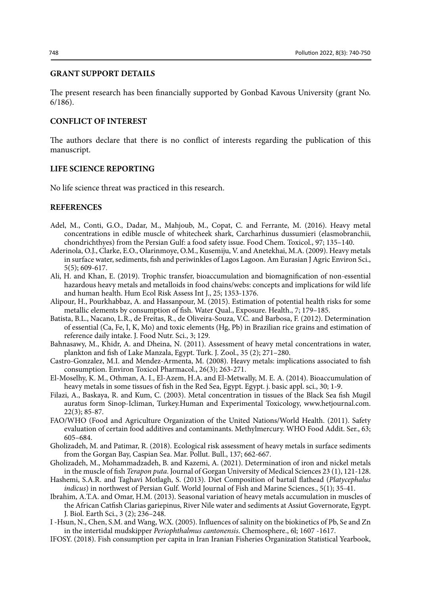### **GRANT SUPPORT DETAILS**

The present research has been financially supported by Gonbad Kavous University (grant No. 6/186).

#### **CONFLICT OF INTEREST**

The authors declare that there is no conflict of interests regarding the publication of this manuscript.

### **LIFE SCIENCE REPORTING**

No life science threat was practiced in this research.

## **REFERENCES**

- Adel, M., Conti, G.O., Dadar, M., Mahjoub, M., Copat, C. and Ferrante, M. (2016). Heavy metal concentrations in edible muscle of whitecheek shark, Carcharhinus dussumieri (elasmobranchii, chondrichthyes) from the Persian Gulf: a food safety issue. Food Chem. Toxicol., 97; 135–140.
- Aderinola, O.J., Clarke, E.O., Olarinmoye, O.M., Kusemiju, V. and Anetekhai, M.A. (2009). Heavy metals in surface water, sediments, fish and periwinkles of Lagos Lagoon. Am Eurasian J Agric Environ Sci., 5(5); 609-617.
- Ali, H. and Khan, E. (2019). Trophic transfer, bioaccumulation and biomagnification of non-essential hazardous heavy metals and metalloids in food chains/webs: concepts and implications for wild life and human health. Hum Ecol Risk Assess Int J., 25; 1353-1376.
- Alipour, H., Pourkhabbaz, A. and Hassanpour, M. (2015). Estimation of potential health risks for some metallic elements by consumption of fish. Water Qual., Exposure. Health., 7; 179–185.
- Batista, B.L., Nacano, L.R., de Freitas, R., de Oliveira-Souza, V.C. and Barbosa, F. (2012). Determination of essential (Ca, Fe, I, K, Mo) and toxic elements (Hg, Pb) in Brazilian rice grains and estimation of reference daily intake. J. Food Nutr. Sci., 3; 129.
- Bahnasawy, M., Khidr, A. and Dheina, N. (2011). Assessment of heavy metal concentrations in water, plankton and fish of Lake Manzala, Egypt. Turk. J. Zool., 35 (2); 271–280.
- Castro-Gonzalez, M.I. and Mendez-Armenta, M. (2008). Heavy metals: implications associated to fish consumption. Environ Toxicol Pharmacol., 26(3); 263-271.
- El-Moselhy, K. M., Othman, A. I., El-Azem, H.A. and El-Metwally, M. E. A. (2014). Bioaccumulation of heavy metals in some tissues of fish in the Red Sea, Egypt. Egypt. *i.* basic appl. sci., 30; 1-9.
- Filazi, A., Baskaya, R. and Kum, C. (2003). Metal concentration in tissues of the Black Sea fish Mugil auratus form Sinop-Icliman, Turkey.Human and Experimental Toxicology, www.hetjournal.com. 22(3); 85-87.
- FAO/WHO (Food and Agriculture Organization of the United Nations/World Health. (2011). Safety evaluation of certain food additives and contaminants. Methylmercury. WHO Food Addit. Ser., 63; 605–684.
- Gholizadeh, M. and Patimar, R. (2018). Ecological risk assessment of heavy metals in surface sediments from the Gorgan Bay, Caspian Sea. Mar. Pollut. Bull., 137; 662-667.
- Gholizadeh, M., Mohammadzadeh, B. and Kazemi, A. (2021). Determination of iron and nickel metals in the muscle of fish *Terapon puta*. Journal of Gorgan University of Medical Sciences 23 (1), 121-128.
- Hashemi, S.A.R. and Taghavi Motlagh, S. (2013). Diet Composition of bartail flathead (*Platycephalus indicus*) in northwest of Persian Gulf. World Journal of Fish and Marine Sciences., 5(1); 35-41.
- Ibrahim, A.T.A. and Omar, H.M. (2013). Seasonal variation of heavy metals accumulation in muscles of the African Catfish Clarias gariepinus, River Nile water and sediments at Assiut Governorate, Egypt. J. Biol. Earth Sci., 3 (2); 236–248.
- I -Hsun, N., Chen, S.M. and Wang, W.X. (2005). Influences of salinity on the biokinetics of Pb, Se and Zn in the intertidal mudskipper *Periophthalmus cantonensis*. Chemosphere., 6l; 1607 -1617.
- IFOSY. (2018). Fish consumption per capita in Iran Iranian Fisheries Organization Statistical Yearbook,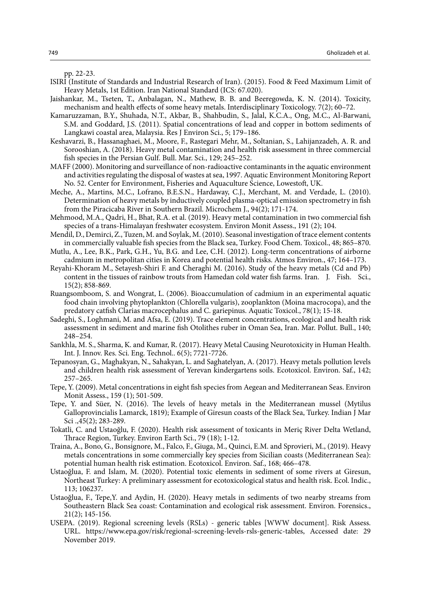pp. 22-23.

- ISIRI (Institute of Standards and Industrial Research of Iran). (2015). Food & Feed Maximum Limit of Heavy Metals, 1st Edition. Iran National Standard (ICS: 67.020).
- Jaishankar, M., Tseten, T., Anbalagan, N., Mathew, B. B. and Beeregowda, K. N. (2014). Toxicity, mechanism and health effects of some heavy metals. Interdisciplinary Toxicology. 7(2); 60–72.
- Kamaruzzaman, B.Y., Shuhada, N.T., Akbar, B., Shahbudin, S., Jalal, K.C.A., Ong, M.C., Al-Barwani, S.M. and Goddard, J.S. (2011). Spatial concentrations of lead and copper in bottom sediments of Langkawi coastal area, Malaysia. Res J Environ Sci., 5; 179–186.
- Keshavarzi, B., Hassanaghaei, M., Moore, F., Rastegari Mehr, M., Soltanian, S., Lahijanzadeh, A. R. and Sorooshian, A. (2018). Heavy metal contamination and health risk assessment in three commercial fish species in the Persian Gulf. Bull. Mar. Sci., 129; 245–252.
- MAFF (2000). Monitoring and surveillance of non-radioactive contaminants in the aquatic environment and activities regulating the disposal of wastes at sea, 1997. Aquatic Environment Monitoring Report No. 52. Center for Environment, Fisheries and Aquaculture Science, Lowestoft, UK.
- Meche, A., Martins, M.C., Lofrano, B.E.S.N., Hardaway, C.J., Merchant, M. and Verdade, L. (2010). Determination of heavy metals by inductively coupled plasma-optical emission spectrometry in fish from the Piracicaba River in Southern Brazil. Microchem J., 94(2); 171-174.
- Mehmood, M.A., Qadri, H., Bhat, R.A. et al. (2019). Heavy metal contamination in two commercial fish species of a trans-Himalayan freshwater ecosystem. Environ Monit Assess., 191 (2); 104.
- Mendil, D., Demirci, Z., Tuzen, M. and Soylak, M. (2010). Seasonal investigation of trace element contents in commercially valuable fish species from the Black sea, Turkey. Food Chem. Toxicol., 48; 865–870.
- Mutlu, A., Lee, B.K., Park, G.H., Yu, B.G. and Lee, C.H. (2012). Long-term concentrations of airborne cadmium in metropolitan cities in Korea and potential health risks. Atmos Environ., 47; 164–173.
- Reyahi-Khoram M., Setayesh-Shiri F. and Cheraghi M. (2016). Study of the heavy metals (Cd and Pb) content in the tissues of rainbow trouts from Hamedan cold water fish farms. Iran. J. Fish. Sci., 15(2); 858-869.
- Ruangsomboom, S. and Wongrat, L. (2006). Bioaccumulation of cadmium in an experimental aquatic food chain involving phytoplankton (Chlorella vulgaris), zooplankton (Moina macrocopa), and the predatory catfish Clarias macrocephalus and C. gariepinus. Aquatic Toxicol., 78(1); 15-18.
- Sadeghi, S., Loghmani, M. and Afsa, E. (2019). Trace element concentrations, ecological and health risk assessment in sediment and marine fish Otolithes ruber in Oman Sea, Iran. Mar. Pollut. Bull., 140; 248–254.
- Sankhla, M. S., Sharma, K. and Kumar, R. (2017). Heavy Metal Causing Neurotoxicity in Human Health. Int. J. Innov. Res. Sci. Eng. Technol.. 6(5); 7721-7726.
- Tepanosyan, G., Maghakyan, N., Sahakyan, L. and Saghatelyan, A. (2017). Heavy metals pollution levels and children health risk assessment of Yerevan kindergartens soils. Ecotoxicol. Environ. Saf., 142; 257–265.
- Tepe, Y. (2009). Metal concentrations in eight fish species from Aegean and Mediterranean Seas. Environ Monit Assess., 159 (1); 501-509.
- Tepe, Y. and Süer, N. (2016). The levels of heavy metals in the Mediterranean mussel (Mytilus Galloprovincialis Lamarck, 1819); Example of Giresun coasts of the Black Sea, Turkey. Indian J Mar Sci .,45(2); 283-289.
- Tokatli, C. and Ustaoğlu, F. (2020). Health risk assessment of toxicants in Meriç River Delta Wetland, Thrace Region, Turkey. Environ Earth Sci., 79 (18); 1-12.
- Traina, A., Bono, G., Bonsignore, M., Falco, F., Giuga, M., Quinci, E.M. and Sprovieri, M., (2019). Heavy metals concentrations in some commercially key species from Sicilian coasts (Mediterranean Sea): potential human health risk estimation. Ecotoxicol. Environ. Saf., 168; 466–478.
- Ustaoğlua, F. and Islam, M. (2020). Potential toxic elements in sediment of some rivers at Giresun, Northeast Turkey: A preliminary assessment for ecotoxicological status and health risk. Ecol. Indic., 113; 106237.
- Ustaoğlua, F., Tepe,Y. and Aydin, H. (2020). Heavy metals in sediments of two nearby streams from Southeastern Black Sea coast: Contamination and ecological risk assessment. Environ. Forensics., 21(2); 145-156.
- USEPA. (2019). Regional screening levels (RSLs) generic tables [WWW document]. Risk Assess. URL. https://www.epa.gov/risk/regional-screening-levels-rsls-generic-tables, Accessed date: 29 November 2019.